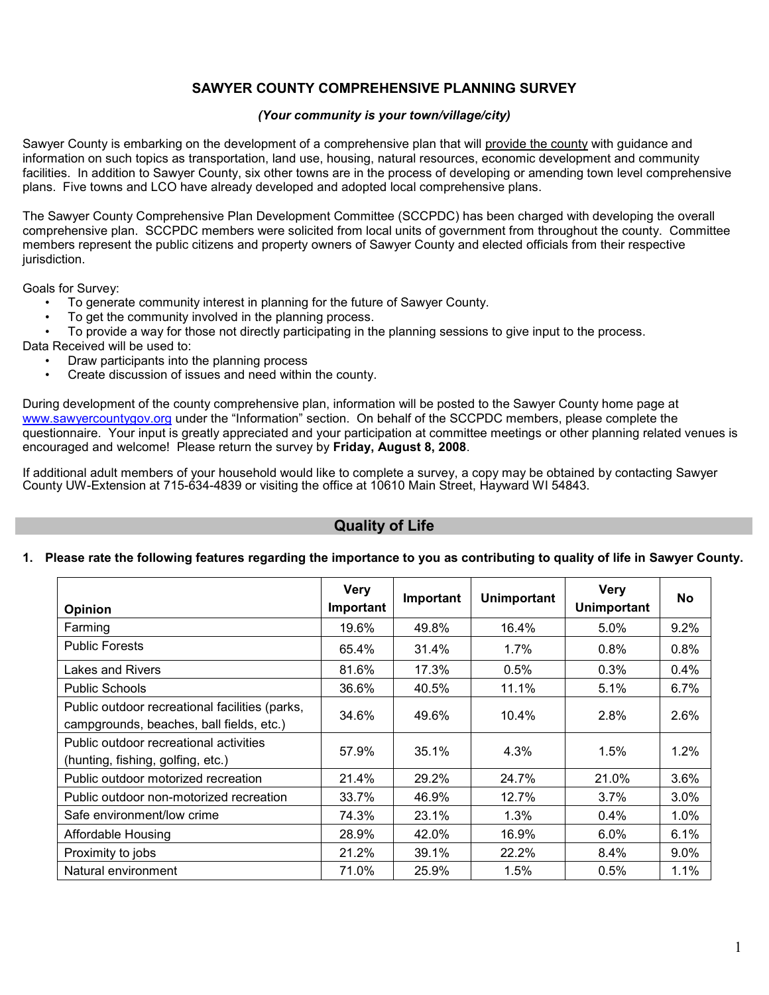### **SAWYER COUNTY COMPREHENSIVE PLANNING SURVEY**

#### *(Your community is your town/village/city)*

Sawyer County is embarking on the development of a comprehensive plan that will provide the county with guidance and information on such topics as transportation, land use, housing, natural resources, economic development and community facilities. In addition to Sawyer County, six other towns are in the process of developing or amending town level comprehensive plans. Five towns and LCO have already developed and adopted local comprehensive plans.

The Sawyer County Comprehensive Plan Development Committee (SCCPDC) has been charged with developing the overall comprehensive plan. SCCPDC members were solicited from local units of government from throughout the county. Committee members represent the public citizens and property owners of Sawyer County and elected officials from their respective jurisdiction.

Goals for Survey:

- To generate community interest in planning for the future of Sawyer County.
- To get the community involved in the planning process.
- To provide a way for those not directly participating in the planning sessions to give input to the process.
- Data Received will be used to:
	- Draw participants into the planning process
	- Create discussion of issues and need within the county.

During development of the county comprehensive plan, information will be posted to the Sawyer County home page at www.sawyercountygov.org under the "Information" section. On behalf of the SCCPDC members, please complete the questionnaire. Your input is greatly appreciated and your participation at committee meetings or other planning related venues is encouraged and welcome! Please return the survey by **Friday, August 8, 2008**.

If additional adult members of your household would like to complete a survey, a copy may be obtained by contacting Sawyer County UW-Extension at 715-634-4839 or visiting the office at 10610 Main Street, Hayward WI 54843.

### **Quality of Life**

#### **1. Please rate the following features regarding the importance to you as contributing to quality of life in Sawyer County.**

| <b>Opinion</b>                                                                             | <b>Very</b><br>Important | Important | <b>Unimportant</b> | <b>Very</b><br><b>Unimportant</b> | <b>No</b> |
|--------------------------------------------------------------------------------------------|--------------------------|-----------|--------------------|-----------------------------------|-----------|
| Farming                                                                                    | 19.6%                    | 49.8%     | 16.4%              | 5.0%                              | 9.2%      |
| <b>Public Forests</b>                                                                      | 65.4%                    | 31.4%     | 1.7%               | 0.8%                              | 0.8%      |
| Lakes and Rivers                                                                           | 81.6%                    | 17.3%     | 0.5%               | 0.3%                              | 0.4%      |
| <b>Public Schools</b>                                                                      | 36.6%                    | 40.5%     | 11.1%              | 5.1%                              | 6.7%      |
| Public outdoor recreational facilities (parks,<br>campgrounds, beaches, ball fields, etc.) | 34.6%                    | 49.6%     | 10.4%              | 2.8%                              | 2.6%      |
| Public outdoor recreational activities<br>(hunting, fishing, golfing, etc.)                | 57.9%                    | 35.1%     | 4.3%               | $1.5\%$                           | 1.2%      |
| Public outdoor motorized recreation                                                        | 21.4%                    | 29.2%     | 24.7%              | 21.0%                             | 3.6%      |
| Public outdoor non-motorized recreation                                                    | 33.7%                    | 46.9%     | 12.7%              | 3.7%                              | 3.0%      |
| Safe environment/low crime                                                                 | 74.3%                    | 23.1%     | 1.3%               | 0.4%                              | 1.0%      |
| Affordable Housing                                                                         | 28.9%                    | 42.0%     | 16.9%              | $6.0\%$                           | 6.1%      |
| Proximity to jobs                                                                          | 21.2%                    | 39.1%     | 22.2%              | $8.4\%$                           | $9.0\%$   |
| Natural environment                                                                        | 71.0%                    | 25.9%     | 1.5%               | 0.5%                              | 1.1%      |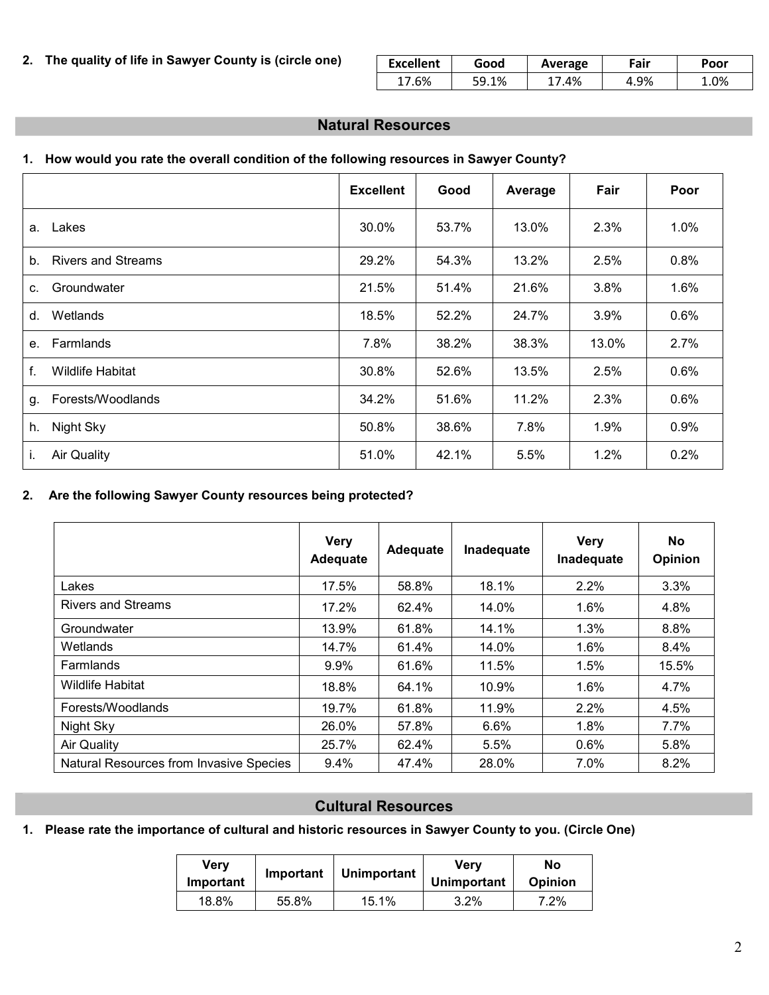### **2. The quality of life in Sawyer County is (circle one)**

| <b>Excellent</b> | Good      | Average | ™air | Poor |  |
|------------------|-----------|---------|------|------|--|
| .6%              | 1%<br>∶ מ | .4%     | 4.9% | .0%  |  |

### **Natural Resources**

### **1. How would you rate the overall condition of the following resources in Sawyer County?**

|                                             | <b>Excellent</b> | Good  | Average | Fair  | Poor |
|---------------------------------------------|------------------|-------|---------|-------|------|
| Lakes<br>a.                                 | 30.0%            | 53.7% | 13.0%   | 2.3%  | 1.0% |
| <b>Rivers and Streams</b><br>b <sub>1</sub> | 29.2%            | 54.3% | 13.2%   | 2.5%  | 0.8% |
| Groundwater<br>C.                           | 21.5%            | 51.4% | 21.6%   | 3.8%  | 1.6% |
| Wetlands<br>d.                              | 18.5%            | 52.2% | 24.7%   | 3.9%  | 0.6% |
| Farmlands<br>e.                             | 7.8%             | 38.2% | 38.3%   | 13.0% | 2.7% |
| <b>Wildlife Habitat</b><br>f.               | 30.8%            | 52.6% | 13.5%   | 2.5%  | 0.6% |
| Forests/Woodlands<br>g.                     | 34.2%            | 51.6% | 11.2%   | 2.3%  | 0.6% |
| Night Sky<br>h.                             | 50.8%            | 38.6% | 7.8%    | 1.9%  | 0.9% |
| Air Quality<br>ı.                           | 51.0%            | 42.1% | 5.5%    | 1.2%  | 0.2% |

### **2. Are the following Sawyer County resources being protected?**

|                                         | <b>Very</b><br><b>Adequate</b> | Adequate | Inadequate | <b>Very</b><br>Inadequate | No<br><b>Opinion</b> |
|-----------------------------------------|--------------------------------|----------|------------|---------------------------|----------------------|
| Lakes                                   | 17.5%                          | 58.8%    | 18.1%      | 2.2%                      | 3.3%                 |
| <b>Rivers and Streams</b>               | 17.2%                          | 62.4%    | 14.0%      | $1.6\%$                   | 4.8%                 |
| Groundwater                             | 13.9%                          | 61.8%    | 14.1%      | 1.3%                      | 8.8%                 |
| Wetlands                                | 14.7%                          | 61.4%    | 14.0%      | 1.6%                      | 8.4%                 |
| Farmlands                               | 9.9%                           | 61.6%    | 11.5%      | 1.5%                      | 15.5%                |
| <b>Wildlife Habitat</b>                 | 18.8%                          | 64.1%    | 10.9%      | 1.6%                      | 4.7%                 |
| Forests/Woodlands                       | 19.7%                          | 61.8%    | 11.9%      | 2.2%                      | 4.5%                 |
| Night Sky                               | 26.0%                          | 57.8%    | 6.6%       | 1.8%                      | 7.7%                 |
| <b>Air Quality</b>                      | 25.7%                          | 62.4%    | 5.5%       | $0.6\%$                   | 5.8%                 |
| Natural Resources from Invasive Species | 9.4%                           | 47.4%    | 28.0%      | 7.0%                      | 8.2%                 |

## **Cultural Resources**

**1. Please rate the importance of cultural and historic resources in Sawyer County to you. (Circle One)**

| Very<br>Important | Important | Unimportant | Verv<br><b>Unimportant</b> | No<br>Opinion |  |
|-------------------|-----------|-------------|----------------------------|---------------|--|
| 18.8%             | 55.8%     | 15.1%       | $3.2\%$                    | 7.2%          |  |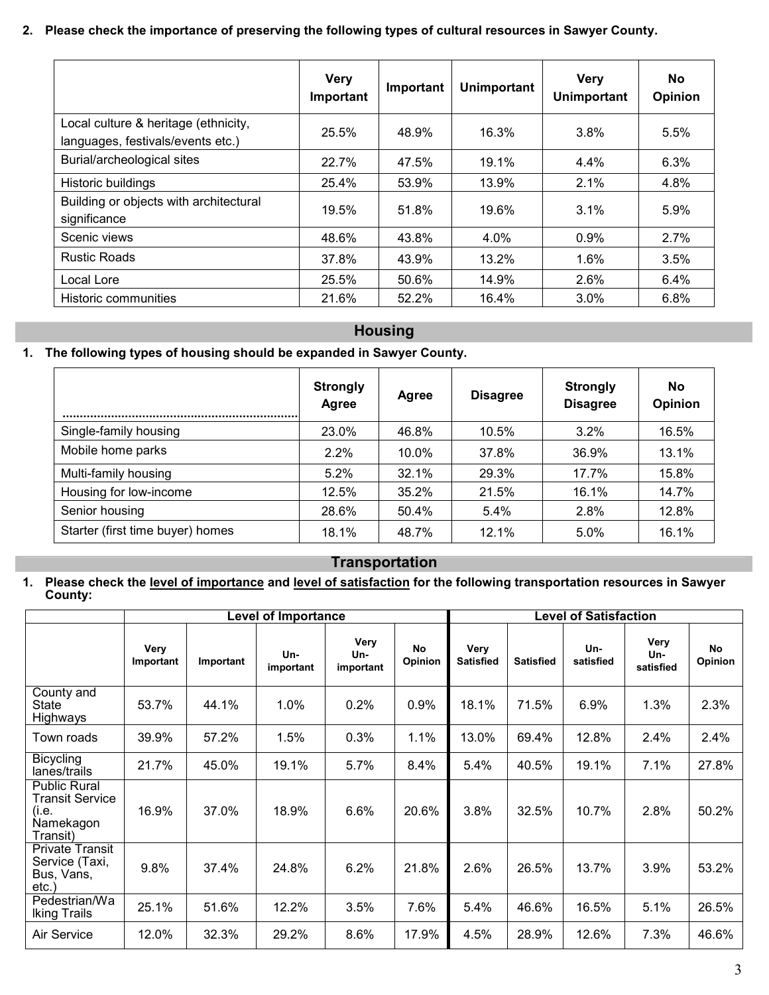### **2. Please check the importance of preserving the following types of cultural resources in Sawyer County.**

|                                                                           | <b>Very</b><br>Important | Important | <b>Unimportant</b> | <b>Very</b><br><b>Unimportant</b> | No.<br>Opinion |
|---------------------------------------------------------------------------|--------------------------|-----------|--------------------|-----------------------------------|----------------|
| Local culture & heritage (ethnicity,<br>languages, festivals/events etc.) | 25.5%                    | 48.9%     | 16.3%              | $3.8\%$                           | 5.5%           |
| Burial/archeological sites                                                | 22.7%                    | 47.5%     | 19.1%              | $4.4\%$                           | 6.3%           |
| Historic buildings                                                        | 25.4%                    | 53.9%     | 13.9%              | 2.1%                              | 4.8%           |
| Building or objects with architectural<br>significance                    | 19.5%                    | 51.8%     | 19.6%              | $3.1\%$                           | 5.9%           |
| Scenic views                                                              | 48.6%                    | 43.8%     | 4.0%               | $0.9\%$                           | 2.7%           |
| <b>Rustic Roads</b>                                                       | 37.8%                    | 43.9%     | 13.2%              | $1.6\%$                           | 3.5%           |
| Local Lore                                                                | 25.5%                    | 50.6%     | 14.9%              | $2.6\%$                           | 6.4%           |
| <b>Historic communities</b>                                               | 21.6%                    | 52.2%     | 16.4%              | 3.0%                              | 6.8%           |

## **Housing**

### **1. The following types of housing should be expanded in Sawyer County.**

|                                  | <b>Strongly</b><br>Agree | Agree | <b>Disagree</b> | <b>Strongly</b><br><b>Disagree</b> | No<br>Opinion |
|----------------------------------|--------------------------|-------|-----------------|------------------------------------|---------------|
| Single-family housing            | 23.0%                    | 46.8% | 10.5%           | 3.2%                               | 16.5%         |
| Mobile home parks                | 2.2%                     | 10.0% | 37.8%           | 36.9%                              | 13.1%         |
| Multi-family housing             | 5.2%                     | 32.1% | 29.3%           | 17.7%                              | 15.8%         |
| Housing for low-income           | 12.5%                    | 35.2% | 21.5%           | 16.1%                              | 14.7%         |
| Senior housing                   | 28.6%                    | 50.4% | 5.4%            | 2.8%                               | 12.8%         |
| Starter (first time buyer) homes | 18.1%                    | 48.7% | 12.1%           | 5.0%                               | 16.1%         |

### **Transportation**

### **1. Please check the level of importance and level of satisfaction for the following transportation resources in Sawyer County:**

|                                                                                 |                   |           | <b>Level of Importance</b> |                          | <b>Level of Satisfaction</b> |                          |                  |                  |                          |                      |
|---------------------------------------------------------------------------------|-------------------|-----------|----------------------------|--------------------------|------------------------------|--------------------------|------------------|------------------|--------------------------|----------------------|
|                                                                                 | Very<br>Important | Important | Un-<br>important           | Very<br>Un-<br>important | No<br>Opinion                | Very<br><b>Satisfied</b> | <b>Satisfied</b> | Un-<br>satisfied | Very<br>Un-<br>satisfied | <b>No</b><br>Opinion |
| County and<br>State<br>Highways                                                 | 53.7%             | 44.1%     | 1.0%                       | 0.2%                     | 0.9%                         | 18.1%                    | 71.5%            | $6.9\%$          | 1.3%                     | 2.3%                 |
| Town roads                                                                      | 39.9%             | 57.2%     | 1.5%                       | 0.3%                     | 1.1%                         | 13.0%                    | 69.4%            | 12.8%            | 2.4%                     | 2.4%                 |
| <b>Bicycling</b><br>lanes/trails                                                | 21.7%             | 45.0%     | 19.1%                      | 5.7%                     | 8.4%                         | 5.4%                     | 40.5%            | 19.1%            | 7.1%                     | 27.8%                |
| <b>Public Rural</b><br><b>Transit Service</b><br>(i.e.<br>Namekagon<br>Transit) | 16.9%             | 37.0%     | 18.9%                      | 6.6%                     | 20.6%                        | 3.8%                     | 32.5%            | 10.7%            | 2.8%                     | 50.2%                |
| <b>Private Transit</b><br>Service (Taxi,<br>Bus, Vans,<br>etc.                  | 9.8%              | 37.4%     | 24.8%                      | 6.2%                     | 21.8%                        | 2.6%                     | 26.5%            | 13.7%            | 3.9%                     | 53.2%                |
| Pedestrian/Wa<br><b>Iking Trails</b>                                            | 25.1%             | 51.6%     | 12.2%                      | 3.5%                     | 7.6%                         | 5.4%                     | 46.6%            | 16.5%            | 5.1%                     | 26.5%                |
| Air Service                                                                     | 12.0%             | 32.3%     | 29.2%                      | 8.6%                     | 17.9%                        | 4.5%                     | 28.9%            | 12.6%            | 7.3%                     | 46.6%                |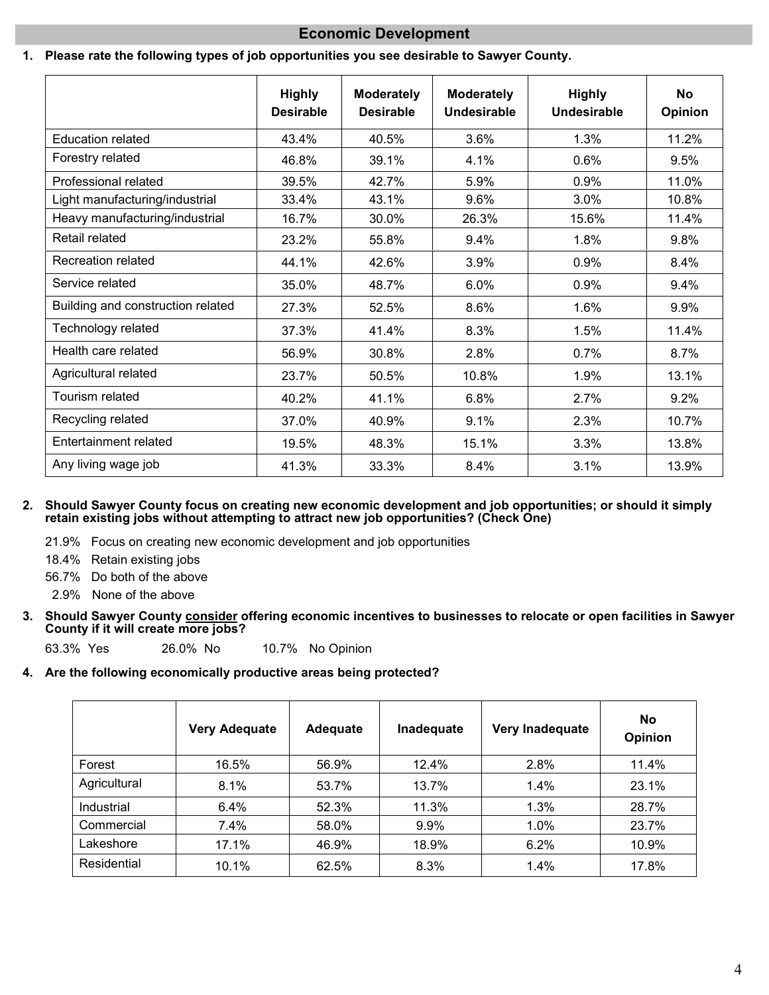### **Economic Development**

### **1. Please rate the following types of job opportunities you see desirable to Sawyer County.**

|                                   | <b>Highly</b><br><b>Desirable</b> | <b>Moderately</b><br><b>Desirable</b> | <b>Moderately</b><br>Undesirable | <b>Highly</b><br><b>Undesirable</b> | <b>No</b><br>Opinion |
|-----------------------------------|-----------------------------------|---------------------------------------|----------------------------------|-------------------------------------|----------------------|
| <b>Education related</b>          | 43.4%                             | 40.5%                                 | 3.6%                             | 1.3%                                | 11.2%                |
| Forestry related                  | 46.8%                             | 39.1%                                 | 4.1%                             | 0.6%                                | 9.5%                 |
| Professional related              | 39.5%                             | 42.7%                                 | 5.9%                             | 0.9%                                | 11.0%                |
| Light manufacturing/industrial    | 33.4%                             | 43.1%                                 | 9.6%                             | 3.0%                                | 10.8%                |
| Heavy manufacturing/industrial    | 16.7%                             | 30.0%                                 | 26.3%                            | 15.6%                               | 11.4%                |
| Retail related                    | 23.2%                             | 55.8%                                 | 9.4%                             | 1.8%                                | 9.8%                 |
| Recreation related                | 44.1%                             | 42.6%                                 | 3.9%                             | 0.9%                                | 8.4%                 |
| Service related                   | 35.0%                             | 48.7%                                 | 6.0%                             | 0.9%                                | $9.4\%$              |
| Building and construction related | 27.3%                             | 52.5%                                 | 8.6%                             | 1.6%                                | $9.9\%$              |
| Technology related                | 37.3%                             | 41.4%                                 | 8.3%                             | 1.5%                                | 11.4%                |
| Health care related               | 56.9%                             | 30.8%                                 | 2.8%                             | 0.7%                                | 8.7%                 |
| Agricultural related              | 23.7%                             | 50.5%                                 | 10.8%                            | 1.9%                                | 13.1%                |
| Tourism related                   | 40.2%                             | 41.1%                                 | 6.8%                             | 2.7%                                | 9.2%                 |
| Recycling related                 | 37.0%                             | 40.9%                                 | 9.1%                             | 2.3%                                | 10.7%                |
| Entertainment related             | 19.5%                             | 48.3%                                 | 15.1%                            | 3.3%                                | 13.8%                |
| Any living wage job               | 41.3%                             | 33.3%                                 | 8.4%                             | 3.1%                                | 13.9%                |

**2. Should Sawyer County focus on creating new economic development and job opportunities; or should it simply retain existing jobs without attempting to attract new job opportunities? (Check One)**

- 21.9% Focus on creating new economic development and job opportunities
- 18.4% Retain existing jobs
- 56.7% Do both of the above
- 2.9% None of the above
- **3. Should Sawyer County consider offering economic incentives to businesses to relocate or open facilities in Sawyer County if it will create more jobs?**

63.3% Yes 26.0% No 10.7% No Opinion

#### **4. Are the following economically productive areas being protected?**

|              | <b>Very Adequate</b> | Adequate | Inadequate | Very Inadequate | <b>No</b><br>Opinion |
|--------------|----------------------|----------|------------|-----------------|----------------------|
| Forest       | 16.5%                | 56.9%    | 12.4%      | 2.8%            | 11.4%                |
| Agricultural | 8.1%                 | 53.7%    | 13.7%      | 1.4%            | 23.1%                |
| Industrial   | 6.4%                 | 52.3%    | 11.3%      | 1.3%            | 28.7%                |
| Commercial   | 7.4%                 | 58.0%    | 9.9%       | 1.0%            | 23.7%                |
| Lakeshore    | 17.1%                | 46.9%    | 18.9%      | 6.2%            | 10.9%                |
| Residential  | 10.1%                | 62.5%    | 8.3%       | 1.4%            | 17.8%                |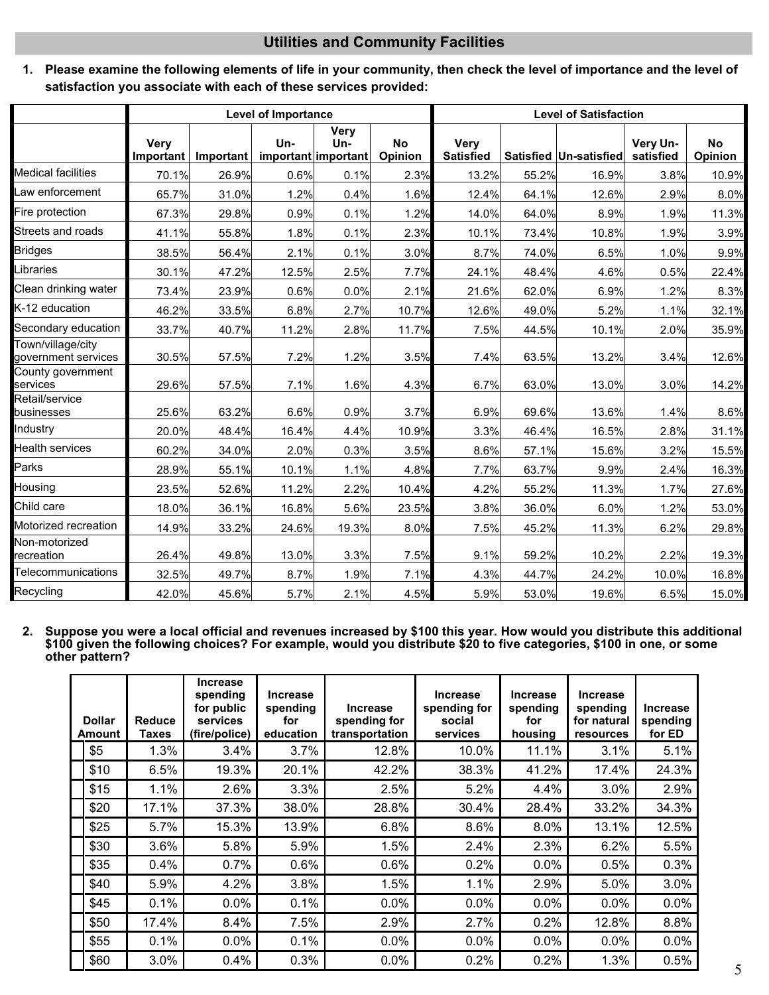### **Utilities and Community Facilities**

**1. Please examine the following elements of life in your community, then check the level of importance and the level of satisfaction you associate with each of these services provided:**

|                                          |                          |           | <b>Level of Importance</b> |                                    |                      | <b>Level of Satisfaction</b>    |       |                        |                       |                      |
|------------------------------------------|--------------------------|-----------|----------------------------|------------------------------------|----------------------|---------------------------------|-------|------------------------|-----------------------|----------------------|
|                                          | <b>Very</b><br>Important | Important | Un-                        | Very<br>Un-<br>important important | <b>No</b><br>Opinion | <b>Very</b><br><b>Satisfied</b> |       | Satisfied Un-satisfied | Very Un-<br>satisfied | <b>No</b><br>Opinion |
| <b>Medical facilities</b>                | 70.1%                    | 26.9%     | 0.6%                       | 0.1%                               | 2.3%                 | 13.2%                           | 55.2% | 16.9%                  | 3.8%                  | 10.9%                |
| aw enforcement.                          | 65.7%                    | 31.0%     | 1.2%                       | 0.4%                               | 1.6%                 | 12.4%                           | 64.1% | 12.6%                  | 2.9%                  | 8.0%                 |
| Fire protection                          | 67.3%                    | 29.8%     | 0.9%                       | 0.1%                               | 1.2%                 | 14.0%                           | 64.0% | 8.9%                   | 1.9%                  | 11.3%                |
| Streets and roads                        | 41.1%                    | 55.8%     | 1.8%                       | 0.1%                               | 2.3%                 | 10.1%                           | 73.4% | 10.8%                  | 1.9%                  | 3.9%                 |
| <b>Bridges</b>                           | 38.5%                    | 56.4%     | 2.1%                       | 0.1%                               | 3.0%                 | 8.7%                            | 74.0% | 6.5%                   | 1.0%                  | 9.9%                 |
| _ibraries                                | 30.1%                    | 47.2%     | 12.5%                      | 2.5%                               | 7.7%                 | 24.1%                           | 48.4% | 4.6%                   | 0.5%                  | 22.4%                |
| Clean drinking water                     | 73.4%                    | 23.9%     | 0.6%                       | 0.0%                               | 2.1%                 | 21.6%                           | 62.0% | 6.9%                   | 1.2%                  | 8.3%                 |
| K-12 education                           | 46.2%                    | 33.5%     | 6.8%                       | 2.7%                               | 10.7%                | 12.6%                           | 49.0% | 5.2%                   | 1.1%                  | 32.1%                |
| Secondary education                      | 33.7%                    | 40.7%     | 11.2%                      | 2.8%                               | 11.7%                | 7.5%                            | 44.5% | 10.1%                  | 2.0%                  | 35.9%                |
| Town/village/city<br>government services | 30.5%                    | 57.5%     | 7.2%                       | 1.2%                               | 3.5%                 | 7.4%                            | 63.5% | 13.2%                  | 3.4%                  | 12.6%                |
| County government<br>services            | 29.6%                    | 57.5%     | 7.1%                       | 1.6%                               | 4.3%                 | 6.7%                            | 63.0% | 13.0%                  | 3.0%                  | 14.2%                |
| Retail/service<br>businesses             | 25.6%                    | 63.2%     | 6.6%                       | 0.9%                               | 3.7%                 | 6.9%                            | 69.6% | 13.6%                  | 1.4%                  | 8.6%                 |
| Industry                                 | 20.0%                    | 48.4%     | 16.4%                      | 4.4%                               | 10.9%                | 3.3%                            | 46.4% | 16.5%                  | 2.8%                  | 31.1%                |
| Health services                          | 60.2%                    | 34.0%     | 2.0%                       | 0.3%                               | 3.5%                 | 8.6%                            | 57.1% | 15.6%                  | 3.2%                  | 15.5%                |
| Parks                                    | 28.9%                    | 55.1%     | 10.1%                      | 1.1%                               | 4.8%                 | 7.7%                            | 63.7% | 9.9%                   | 2.4%                  | 16.3%                |
| Housing                                  | 23.5%                    | 52.6%     | 11.2%                      | 2.2%                               | 10.4%                | 4.2%                            | 55.2% | 11.3%                  | 1.7%                  | 27.6%                |
| Child care                               | 18.0%                    | 36.1%     | 16.8%                      | 5.6%                               | 23.5%                | 3.8%                            | 36.0% | 6.0%                   | 1.2%                  | 53.0%                |
| Motorized recreation                     | 14.9%                    | 33.2%     | 24.6%                      | 19.3%                              | 8.0%                 | 7.5%                            | 45.2% | 11.3%                  | 6.2%                  | 29.8%                |
| Non-motorized<br>recreation              | 26.4%                    | 49.8%     | 13.0%                      | 3.3%                               | 7.5%                 | 9.1%                            | 59.2% | 10.2%                  | 2.2%                  | 19.3%                |
| Telecommunications                       | 32.5%                    | 49.7%     | 8.7%                       | 1.9%                               | 7.1%                 | 4.3%                            | 44.7% | 24.2%                  | 10.0%                 | 16.8%                |
| Recycling                                | 42.0%                    | 45.6%     | 5.7%                       | 2.1%                               | 4.5%                 | 5.9%                            | 53.0% | 19.6%                  | 6.5%                  | 15.0%                |

**2. Suppose you were a local official and revenues increased by \$100 this year. How would you distribute this additional \$100 given the following choices? For example, would you distribute \$20 to five categories, \$100 in one, or some other pattern?**

| <b>Dollar</b><br><b>Amount</b> |      | <b>Reduce</b><br>Taxes | <b>Increase</b><br>spending<br>for public<br>services<br>(fire/police) | <b>Increase</b><br>spending<br>for<br>education | <b>Increase</b><br>spending for<br>transportation | <b>Increase</b><br>spending for<br>social<br>services | <b>Increase</b><br>spending<br>for<br>housing | <b>Increase</b><br>spending<br>for natural<br>resources | <b>Increase</b><br>spending<br>for ED |
|--------------------------------|------|------------------------|------------------------------------------------------------------------|-------------------------------------------------|---------------------------------------------------|-------------------------------------------------------|-----------------------------------------------|---------------------------------------------------------|---------------------------------------|
|                                | \$5  | 1.3%                   | 3.4%                                                                   | 3.7%                                            | 12.8%                                             | 10.0%                                                 | 11.1%                                         | 3.1%                                                    | 5.1%                                  |
|                                | \$10 | 6.5%                   | 19.3%                                                                  | 20.1%                                           | 42.2%                                             | 38.3%                                                 | 41.2%                                         | 17.4%                                                   | 24.3%                                 |
|                                | \$15 | 1.1%                   | 2.6%                                                                   | 3.3%                                            | 2.5%                                              | 5.2%                                                  | 4.4%                                          | 3.0%                                                    | 2.9%                                  |
|                                | \$20 | 17.1%                  | 37.3%                                                                  | 38.0%                                           | 28.8%                                             | 30.4%                                                 | 28.4%                                         | 33.2%                                                   | 34.3%                                 |
|                                | \$25 | 5.7%                   | 15.3%                                                                  | 13.9%                                           | 6.8%                                              | 8.6%                                                  | $8.0\%$                                       | 13.1%                                                   | 12.5%                                 |
|                                | \$30 | 3.6%                   | 5.8%                                                                   | 5.9%                                            | 1.5%                                              | 2.4%                                                  | 2.3%                                          | 6.2%                                                    | 5.5%                                  |
|                                | \$35 | 0.4%                   | $0.7\%$                                                                | 0.6%                                            | $0.6\%$                                           | 0.2%                                                  | $0.0\%$                                       | 0.5%                                                    | 0.3%                                  |
|                                | \$40 | 5.9%                   | 4.2%                                                                   | 3.8%                                            | 1.5%                                              | 1.1%                                                  | 2.9%                                          | 5.0%                                                    | 3.0%                                  |
|                                | \$45 | 0.1%                   | 0.0%                                                                   | 0.1%                                            | $0.0\%$                                           | 0.0%                                                  | $0.0\%$                                       | 0.0%                                                    | 0.0%                                  |
|                                | \$50 | 17.4%                  | 8.4%                                                                   | 7.5%                                            | 2.9%                                              | 2.7%                                                  | 0.2%                                          | 12.8%                                                   | 8.8%                                  |
|                                | \$55 | 0.1%                   | $0.0\%$                                                                | 0.1%                                            | $0.0\%$                                           | $0.0\%$                                               | $0.0\%$                                       | $0.0\%$                                                 | 0.0%                                  |
|                                | \$60 | 3.0%                   | 0.4%                                                                   | 0.3%                                            | 0.0%                                              | 0.2%                                                  | 0.2%                                          | 1.3%                                                    | 0.5%                                  |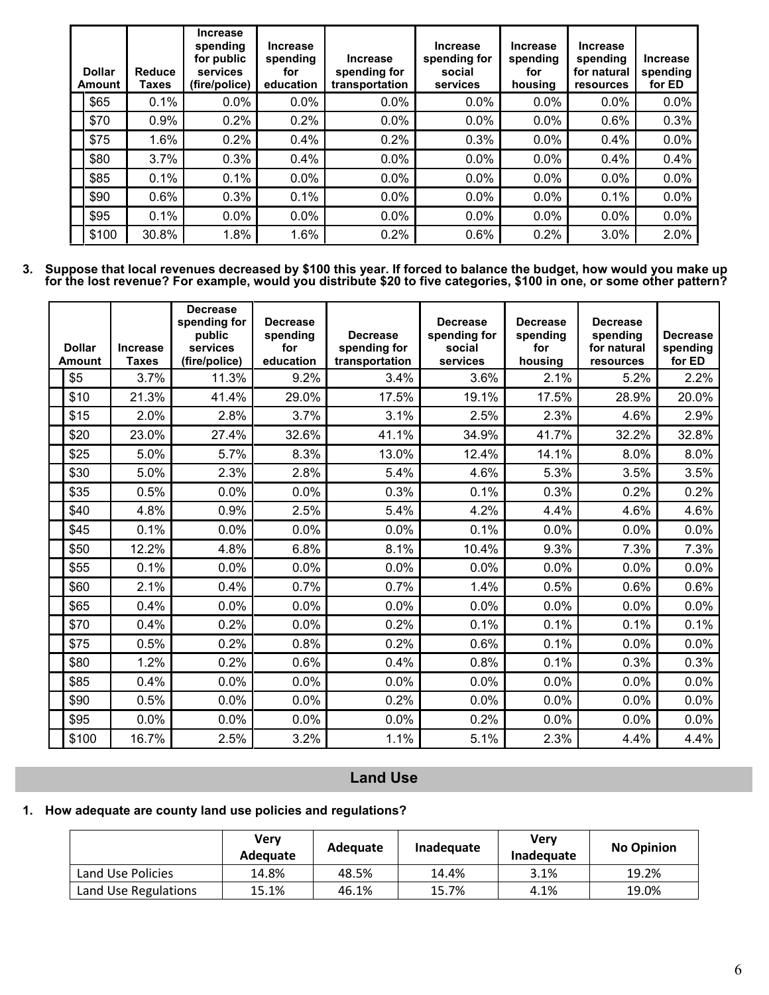| <b>Dollar</b><br><b>Amount</b> | Reduce<br>Taxes | <b>Increase</b><br>spending<br>for public<br>services<br>(fire/police) | <b>Increase</b><br>spending<br>for<br>education | <b>Increase</b><br>spending for<br>transportation | <b>Increase</b><br>spending for<br>social<br>services | <b>Increase</b><br>spending<br>for<br>housing | <b>Increase</b><br>spending<br>for natural<br>resources | <b>Increase</b><br>spending<br>for ED |
|--------------------------------|-----------------|------------------------------------------------------------------------|-------------------------------------------------|---------------------------------------------------|-------------------------------------------------------|-----------------------------------------------|---------------------------------------------------------|---------------------------------------|
| \$65                           | 0.1%            | 0.0%                                                                   | 0.0%                                            | $0.0\%$                                           | 0.0%                                                  | $0.0\%$                                       | $0.0\%$                                                 | 0.0%                                  |
| \$70                           | 0.9%            | 0.2%                                                                   | 0.2%                                            | 0.0%                                              | 0.0%                                                  | 0.0%                                          | 0.6%                                                    | 0.3%                                  |
| \$75                           | 1.6%            | 0.2%                                                                   | 0.4%                                            | 0.2%                                              | 0.3%                                                  | 0.0%                                          | 0.4%                                                    | 0.0%                                  |
| \$80                           | 3.7%            | 0.3%                                                                   | 0.4%                                            | 0.0%                                              | 0.0%                                                  | 0.0%                                          | 0.4%                                                    | 0.4%                                  |
| \$85                           | 0.1%            | 0.1%                                                                   | $0.0\%$                                         | 0.0%                                              | 0.0%                                                  | 0.0%                                          | 0.0%                                                    | 0.0%                                  |
| \$90                           | 0.6%            | 0.3%                                                                   | 0.1%                                            | $0.0\%$                                           | 0.0%                                                  | 0.0%                                          | 0.1%                                                    | 0.0%                                  |
| \$95                           | 0.1%            | $0.0\%$                                                                | $0.0\%$                                         | 0.0%                                              | 0.0%                                                  | 0.0%                                          | $0.0\%$                                                 | 0.0%                                  |
| \$100                          | 30.8%           | 1.8%                                                                   | 1.6%                                            | 0.2%                                              | 0.6%                                                  | 0.2%                                          | 3.0%                                                    | 2.0%                                  |

**3. Suppose that local revenues decreased by \$100 this year. If forced to balance the budget, how would you make up for the lost revenue? For example, would you distribute \$20 to five categories, \$100 in one, or some other pattern?**

| <b>Dollar</b><br><b>Amount</b> | <b>Increase</b><br><b>Taxes</b> | <b>Decrease</b><br>spending for<br>public<br>services<br>(fire/police) | <b>Decrease</b><br>spending<br>for<br>education | <b>Decrease</b><br>spending for<br>transportation | <b>Decrease</b><br>spending for<br>social<br>services | <b>Decrease</b><br>spending<br>for<br>housing | <b>Decrease</b><br>spending<br>for natural<br>resources | <b>Decrease</b><br>spending<br>for ED |
|--------------------------------|---------------------------------|------------------------------------------------------------------------|-------------------------------------------------|---------------------------------------------------|-------------------------------------------------------|-----------------------------------------------|---------------------------------------------------------|---------------------------------------|
| \$5                            | 3.7%                            | 11.3%                                                                  | 9.2%                                            | 3.4%                                              | 3.6%                                                  | 2.1%                                          | 5.2%                                                    | 2.2%                                  |
| \$10                           | 21.3%                           | 41.4%                                                                  | 29.0%                                           | 17.5%                                             | 19.1%                                                 | 17.5%                                         | 28.9%                                                   | 20.0%                                 |
| \$15                           | 2.0%                            | 2.8%                                                                   | 3.7%                                            | 3.1%                                              | 2.5%                                                  | 2.3%                                          | 4.6%                                                    | 2.9%                                  |
| \$20                           | 23.0%                           | 27.4%                                                                  | 32.6%                                           | 41.1%                                             | 34.9%                                                 | 41.7%                                         | 32.2%                                                   | 32.8%                                 |
| \$25                           | 5.0%                            | 5.7%                                                                   | 8.3%                                            | 13.0%                                             | 12.4%                                                 | 14.1%                                         | 8.0%                                                    | 8.0%                                  |
| \$30                           | 5.0%                            | 2.3%                                                                   | 2.8%                                            | 5.4%                                              | 4.6%                                                  | 5.3%                                          | 3.5%                                                    | 3.5%                                  |
| \$35                           | 0.5%                            | 0.0%                                                                   | 0.0%                                            | 0.3%                                              | 0.1%                                                  | 0.3%                                          | 0.2%                                                    | 0.2%                                  |
| \$40                           | 4.8%                            | 0.9%                                                                   | 2.5%                                            | 5.4%                                              | 4.2%                                                  | 4.4%                                          | 4.6%                                                    | 4.6%                                  |
| \$45                           | 0.1%                            | 0.0%                                                                   | 0.0%                                            | 0.0%                                              | 0.1%                                                  | 0.0%                                          | 0.0%                                                    | 0.0%                                  |
| \$50                           | 12.2%                           | 4.8%                                                                   | 6.8%                                            | 8.1%                                              | 10.4%                                                 | 9.3%                                          | 7.3%                                                    | 7.3%                                  |
| \$55                           | 0.1%                            | 0.0%                                                                   | 0.0%                                            | 0.0%                                              | 0.0%                                                  | 0.0%                                          | 0.0%                                                    | 0.0%                                  |
| \$60                           | 2.1%                            | 0.4%                                                                   | 0.7%                                            | 0.7%                                              | 1.4%                                                  | 0.5%                                          | 0.6%                                                    | 0.6%                                  |
| \$65                           | 0.4%                            | 0.0%                                                                   | 0.0%                                            | 0.0%                                              | 0.0%                                                  | 0.0%                                          | 0.0%                                                    | 0.0%                                  |
| \$70                           | 0.4%                            | 0.2%                                                                   | 0.0%                                            | 0.2%                                              | 0.1%                                                  | 0.1%                                          | 0.1%                                                    | 0.1%                                  |
| \$75                           | 0.5%                            | 0.2%                                                                   | 0.8%                                            | 0.2%                                              | 0.6%                                                  | 0.1%                                          | 0.0%                                                    | 0.0%                                  |
| \$80                           | 1.2%                            | 0.2%                                                                   | 0.6%                                            | 0.4%                                              | 0.8%                                                  | 0.1%                                          | 0.3%                                                    | 0.3%                                  |
| \$85                           | 0.4%                            | 0.0%                                                                   | 0.0%                                            | 0.0%                                              | 0.0%                                                  | 0.0%                                          | 0.0%                                                    | 0.0%                                  |
| \$90                           | 0.5%                            | 0.0%                                                                   | 0.0%                                            | 0.2%                                              | 0.0%                                                  | 0.0%                                          | 0.0%                                                    | 0.0%                                  |
| \$95                           | 0.0%                            | 0.0%                                                                   | 0.0%                                            | 0.0%                                              | 0.2%                                                  | 0.0%                                          | 0.0%                                                    | 0.0%                                  |
| \$100                          | 16.7%                           | 2.5%                                                                   | 3.2%                                            | 1.1%                                              | 5.1%                                                  | 2.3%                                          | 4.4%                                                    | 4.4%                                  |

# **Land Use**

### **1. How adequate are county land use policies and regulations?**

|                      | Verv<br>Adequate | <b>Adequate</b> | Inadequate | Verv<br>Inadequate | <b>No Opinion</b> |
|----------------------|------------------|-----------------|------------|--------------------|-------------------|
| Land Use Policies    | 14.8%            | 48.5%           | 14.4%      | 3.1%               | 19.2%             |
| Land Use Regulations | 15.1%            | 46.1%           | 15.7%      | 4.1%               | 19.0%             |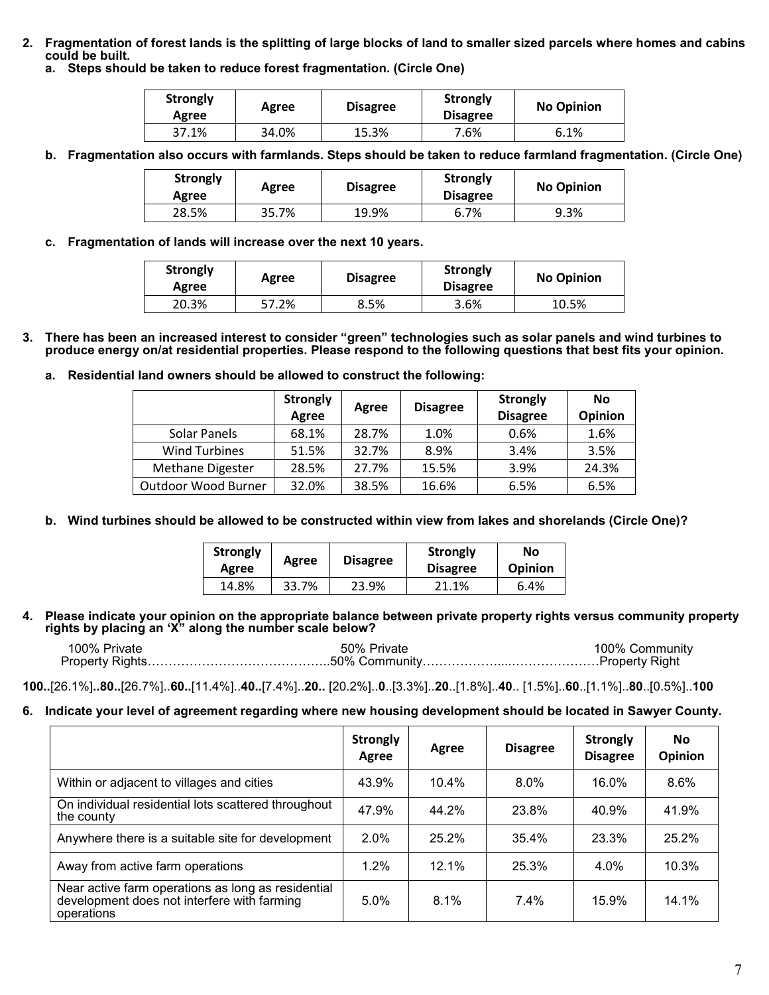**2. Fragmentation of forest lands is the splitting of large blocks of land to smaller sized parcels where homes and cabins could be built.**

**a. Steps should be taken to reduce forest fragmentation. (Circle One)**

| <b>Strongly</b><br>Agree | Agree | <b>Disagree</b> | <b>Strongly</b><br><b>Disagree</b> | <b>No Opinion</b> |  |
|--------------------------|-------|-----------------|------------------------------------|-------------------|--|
| 37.1%                    | 34.0% | 15.3%           | 7.6%                               | 6.1%              |  |

**b. Fragmentation also occurs with farmlands. Steps should be taken to reduce farmland fragmentation. (Circle One)**

| <b>Strongly</b><br>Agree | Agree | <b>Disagree</b> | <b>Strongly</b><br><b>Disagree</b> | <b>No Opinion</b> |
|--------------------------|-------|-----------------|------------------------------------|-------------------|
| 28.5%                    | 35.7% | 19.9%           | 6.7%                               | 9.3%              |

**c. Fragmentation of lands will increase over the next 10 years.**

| <b>Strongly</b><br>Agree | <b>Disagree</b><br>Agree |      | Strongly<br><b>Disagree</b> | <b>No Opinion</b> |  |
|--------------------------|--------------------------|------|-----------------------------|-------------------|--|
| 20.3%                    | 57.2%                    | 8.5% | 3.6%                        | 10.5%             |  |

- **3. There has been an increased interest to consider "green"technologies such as solar panels and wind turbines to produce energy on/at residential properties. Please respond to the following questions that best fits your opinion.**
	- **a. Residential land owners should be allowed to construct the following:**

|                      | <b>Strongly</b><br>Agree | Agree | <b>Disagree</b> | <b>Strongly</b><br><b>Disagree</b> | No<br><b>Opinion</b> |
|----------------------|--------------------------|-------|-----------------|------------------------------------|----------------------|
| Solar Panels         | 68.1%                    | 28.7% | 1.0%            | 0.6%                               | 1.6%                 |
| <b>Wind Turbines</b> | 51.5%                    | 32.7% | 8.9%            | 3.4%                               | 3.5%                 |
| Methane Digester     | 28.5%                    | 27.7% | 15.5%           | 3.9%                               | 24.3%                |
| Outdoor Wood Burner  | 32.0%                    | 38.5% | 16.6%           | 6.5%                               | 6.5%                 |

**b. Wind turbines should be allowed to be constructed within view from lakes and shorelands (Circle One)?**

| <b>Strongly</b><br>Agree | Agree | <b>Disagree</b> | Strongly<br><b>Disagree</b> | Νo<br><b>Opinion</b> |  |
|--------------------------|-------|-----------------|-----------------------------|----------------------|--|
| 14.8%                    | 33.7% | 23.9%           | 21.1%                       | 6.4%                 |  |

**4. Please indicate your opinion on the appropriate balance between private property rights versus community property rights by placing an 'X"along the number scale below?**

| 100% Private | 50% Private                                                              | 100% Community |
|--------------|--------------------------------------------------------------------------|----------------|
|              | Property Rights………………………………………50% Community………………………………………Property Right |                |

**100..**[26.1%]**..80..**[26.7%]..**60..**[11.4%]..**40..**[7.4%]..**20..** [20.2%]..**0**..[3.3%]..**20**..[1.8%]..**40**.. [1.5%]..**60**..[1.1%]..**80**..[0.5%]..**100**

#### **6. Indicate your level of agreement regarding where new housing development should be located in Sawyer County.**

|                                                                                                                 | <b>Strongly</b><br>Agree | Agree | <b>Disagree</b> | <b>Strongly</b><br><b>Disagree</b> | <b>No</b><br><b>Opinion</b> |
|-----------------------------------------------------------------------------------------------------------------|--------------------------|-------|-----------------|------------------------------------|-----------------------------|
| Within or adjacent to villages and cities                                                                       | 43.9%                    | 10.4% | $8.0\%$         | 16.0%                              | 8.6%                        |
| On individual residential lots scattered throughout<br>the county                                               | 47.9%                    | 44.2% | 23.8%           | 40.9%                              | 41.9%                       |
| Anywhere there is a suitable site for development                                                               | 2.0%                     | 25.2% | 35.4%           | 23.3%                              | 25.2%                       |
| Away from active farm operations                                                                                | 1.2%                     | 12.1% | 25.3%           | $4.0\%$                            | 10.3%                       |
| Near active farm operations as long as residential<br>development does not interfere with farming<br>operations | 5.0%                     | 8.1%  | $7.4\%$         | 15.9%                              | 14.1%                       |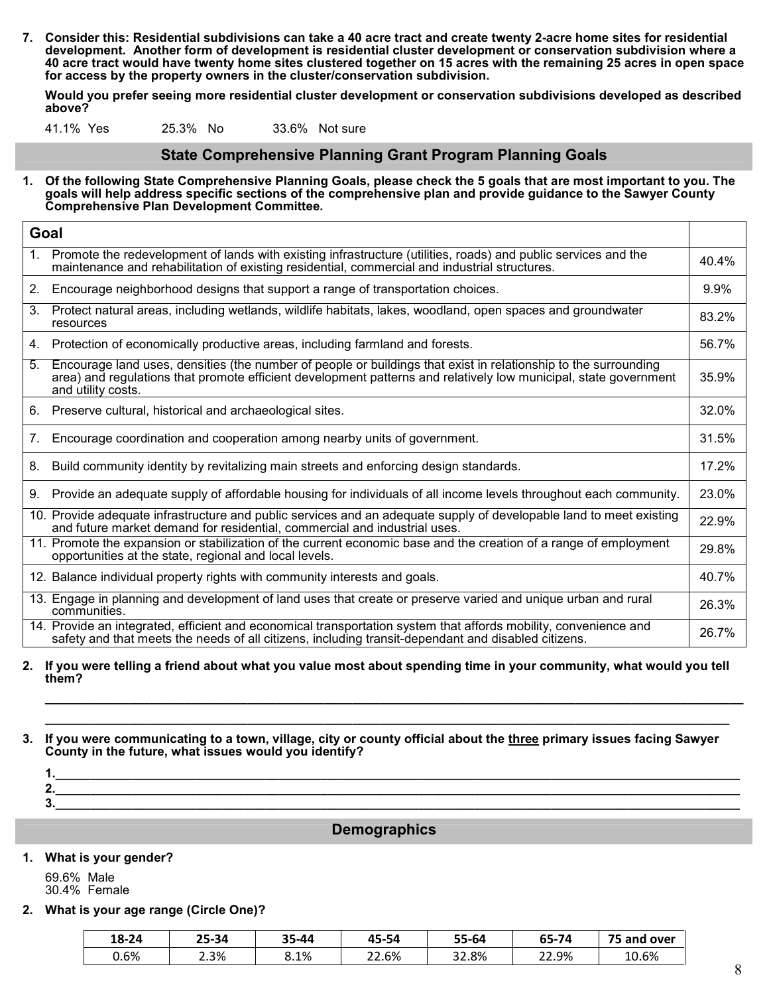**7. Consider this: Residential subdivisions can take a 40 acre tract and create twenty 2-acre home sites for residential development. Another form of development is residential cluster development or conservation subdivision where a 40 acre tract would have twenty home sites clustered together on 15 acres with the remaining 25 acres in open space for access by the property owners in the cluster/conservation subdivision.**

**Would you prefer seeing more residential cluster development or conservation subdivisions developed as described above?**

41.1% Yes 25.3% No 33.6% Not sure

#### **State Comprehensive Planning Grant Program Planning Goals**

**1. Of the following State Comprehensive Planning Goals, please check the 5 goals that are most important to you. The goals will help address specific sections of the comprehensive plan and provide guidance to the Sawyer County Comprehensive Plan Development Committee.**

|    | Goal                                                                                                                                                                                                                                                      |       |
|----|-----------------------------------------------------------------------------------------------------------------------------------------------------------------------------------------------------------------------------------------------------------|-------|
| 1. | Promote the redevelopment of lands with existing infrastructure (utilities, roads) and public services and the<br>maintenance and rehabilitation of existing residential, commercial and industrial structures.                                           | 40.4% |
| 2. | Encourage neighborhood designs that support a range of transportation choices.                                                                                                                                                                            | 9.9%  |
| 3. | Protect natural areas, including wetlands, wildlife habitats, lakes, woodland, open spaces and groundwater<br>resources                                                                                                                                   | 83.2% |
| 4. | Protection of economically productive areas, including farmland and forests.                                                                                                                                                                              | 56.7% |
| 5. | Encourage land uses, densities (the number of people or buildings that exist in relationship to the surrounding<br>area) and regulations that promote efficient development patterns and relatively low municipal, state government<br>and utility costs. | 35.9% |
| 6. | Preserve cultural, historical and archaeological sites.                                                                                                                                                                                                   | 32.0% |
| 7. | Encourage coordination and cooperation among nearby units of government.                                                                                                                                                                                  | 31.5% |
| 8. | Build community identity by revitalizing main streets and enforcing design standards.                                                                                                                                                                     | 17.2% |
| 9. | Provide an adequate supply of affordable housing for individuals of all income levels throughout each community.                                                                                                                                          | 23.0% |
|    | 10. Provide adequate infrastructure and public services and an adequate supply of developable land to meet existing<br>and future market demand for residential, commercial and industrial uses.                                                          | 22.9% |
|    | 11. Promote the expansion or stabilization of the current economic base and the creation of a range of employment<br>opportunities at the state, regional and local levels.                                                                               | 29.8% |
|    | 12. Balance individual property rights with community interests and goals.                                                                                                                                                                                | 40.7% |
|    | 13. Engage in planning and development of land uses that create or preserve varied and unique urban and rural<br>communities.                                                                                                                             | 26.3% |
|    | 14. Provide an integrated, efficient and economical transportation system that affords mobility, convenience and<br>safety and that meets the needs of all citizens, including transit-dependant and disabled citizens.                                   | 26.7% |

- **2. If you were telling a friend about what you value most about spending time in your community, what would you tell them?**
- **3. If you were communicating to a town, village, city or county official about the three primary issues facing Sawyer County in the future, what issues would you identify?**

| 2<br>. . |  |
|----------|--|
| 2<br>v.  |  |

**\_\_\_\_\_\_\_\_\_\_\_\_\_\_\_\_\_\_\_\_\_\_\_\_\_\_\_\_\_\_\_\_\_\_\_\_\_\_\_\_\_\_\_\_\_\_\_\_\_\_\_\_\_\_\_\_\_\_\_\_\_\_\_\_\_\_\_\_\_\_\_\_\_\_\_\_\_\_\_\_\_\_\_\_\_\_\_\_\_\_\_\_\_\_\_\_\_\_\_\_ \_\_\_\_\_\_\_\_\_\_\_\_\_\_\_\_\_\_\_\_\_\_\_\_\_\_\_\_\_\_\_\_\_\_\_\_\_\_\_\_\_\_\_\_\_\_\_\_\_\_\_\_\_\_\_\_\_\_\_\_\_\_\_\_\_\_\_\_\_\_\_\_\_\_\_\_\_\_\_\_\_\_\_\_\_\_\_\_\_\_\_\_\_\_\_\_\_\_**

#### **Demographics**

#### **1. What is your gender?**

69.6% Male 30.4% Female

**2. What is your age range (Circle One)?**

| 18-24 | 25-34 | 35-44 | 45-54           | 55-64 | 65-74 | 75<br>and<br>over |
|-------|-------|-------|-----------------|-------|-------|-------------------|
| 0.6%  | 2.3%  | 8.1%  | 22.6%<br>$\sim$ | 32.8% | 22.9% | 10.6%             |